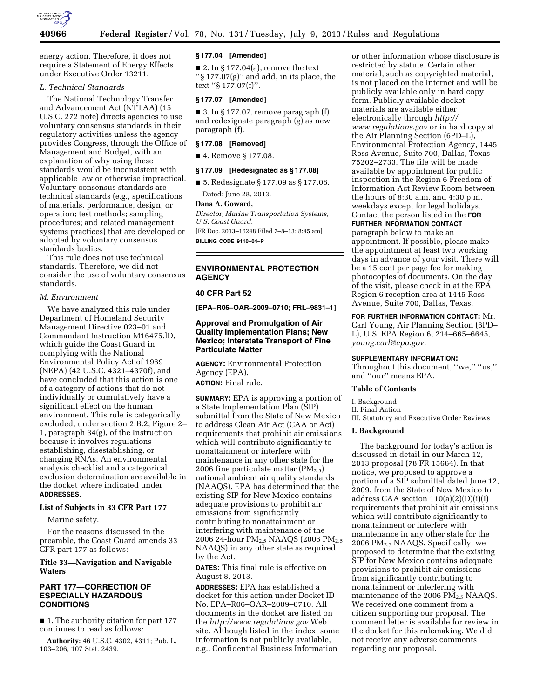

energy action. Therefore, it does not require a Statement of Energy Effects under Executive Order 13211.

## *L. Technical Standards*

The National Technology Transfer and Advancement Act (NTTAA) (15 U.S.C. 272 note) directs agencies to use voluntary consensus standards in their regulatory activities unless the agency provides Congress, through the Office of Management and Budget, with an explanation of why using these standards would be inconsistent with applicable law or otherwise impractical. Voluntary consensus standards are technical standards (e.g., specifications of materials, performance, design, or operation; test methods; sampling procedures; and related management systems practices) that are developed or adopted by voluntary consensus standards bodies.

This rule does not use technical standards. Therefore, we did not consider the use of voluntary consensus standards.

#### *M. Environment*

We have analyzed this rule under Department of Homeland Security Management Directive 023–01 and Commandant Instruction M16475.lD, which guide the Coast Guard in complying with the National Environmental Policy Act of 1969 (NEPA) (42 U.S.C. 4321–4370f), and have concluded that this action is one of a category of actions that do not individually or cumulatively have a significant effect on the human environment. This rule is categorically excluded, under section 2.B.2, Figure 2– 1, paragraph 34(g), of the Instruction because it involves regulations establishing, disestablishing, or changing RNAs. An environmental analysis checklist and a categorical exclusion determination are available in the docket where indicated under **ADDRESSES**.

### **List of Subjects in 33 CFR Part 177**

Marine safety.

For the reasons discussed in the preamble, the Coast Guard amends 33 CFR part 177 as follows:

### **Title 33—Navigation and Navigable Waters**

### **PART 177—CORRECTION OF ESPECIALLY HAZARDOUS CONDITIONS**

■ 1. The authority citation for part 177 continues to read as follows:

**Authority:** 46 U.S.C. 4302, 4311; Pub. L. 103–206, 107 Stat. 2439.

#### **§ 177.04 [Amended]**

■ 2. In § 177.04(a), remove the text ''§ 177.07(g)'' and add, in its place, the text ''§ 177.07(f)''.

### **§ 177.07 [Amended]**

 $\blacksquare$  3. In § 177.07, remove paragraph (f) and redesignate paragraph (g) as new paragraph (f).

### **§ 177.08 [Removed]**

■ 4. Remove § 177.08.

#### **§ 177.09 [Redesignated as § 177.08]**

■ 5. Redesignate § 177.09 as § 177.08. Dated: June 28, 2013.

#### **Dana A. Goward,**

*Director, Marine Transportation Systems, U.S. Coast Guard.*  [FR Doc. 2013–16248 Filed 7–8–13; 8:45 am]

**BILLING CODE 9110–04–P** 

### **ENVIRONMENTAL PROTECTION AGENCY**

### **40 CFR Part 52**

**[EPA–R06–OAR–2009–0710; FRL–9831–1]** 

### **Approval and Promulgation of Air Quality Implementation Plans; New Mexico; Interstate Transport of Fine Particulate Matter**

**AGENCY:** Environmental Protection Agency (EPA).

**ACTION:** Final rule.

**SUMMARY:** EPA is approving a portion of a State Implementation Plan (SIP) submittal from the State of New Mexico to address Clean Air Act (CAA or Act) requirements that prohibit air emissions which will contribute significantly to nonattainment or interfere with maintenance in any other state for the 2006 fine particulate matter  $(PM_{2.5})$ national ambient air quality standards (NAAQS). EPA has determined that the existing SIP for New Mexico contains adequate provisions to prohibit air emissions from significantly contributing to nonattainment or interfering with maintenance of the 2006 24-hour PM<sub>2.5</sub> NAAQS (2006 PM<sub>2.5</sub>) NAAQS) in any other state as required by the Act.

**DATES:** This final rule is effective on August 8, 2013.

**ADDRESSES:** EPA has established a docket for this action under Docket ID No. EPA–R06–OAR–2009–0710. All documents in the docket are listed on the *<http://www.regulations.gov>*Web site. Although listed in the index, some information is not publicly available, e.g., Confidential Business Information

or other information whose disclosure is restricted by statute. Certain other material, such as copyrighted material, is not placed on the Internet and will be publicly available only in hard copy form. Publicly available docket materials are available either electronically through *[http://](http://www.regulations.gov) [www.regulations.gov](http://www.regulations.gov)* or in hard copy at the Air Planning Section (6PD–L), Environmental Protection Agency, 1445 Ross Avenue, Suite 700, Dallas, Texas 75202–2733. The file will be made available by appointment for public inspection in the Region 6 Freedom of Information Act Review Room between the hours of 8:30 a.m. and 4:30 p.m. weekdays except for legal holidays. Contact the person listed in the **FOR**

# **FURTHER INFORMATION CONTACT**

paragraph below to make an appointment. If possible, please make the appointment at least two working days in advance of your visit. There will be a 15 cent per page fee for making photocopies of documents. On the day of the visit, please check in at the EPA Region 6 reception area at 1445 Ross Avenue, Suite 700, Dallas, Texas.

### **FOR FURTHER INFORMATION CONTACT:** Mr. Carl Young, Air Planning Section (6PD– L), U.S. EPA Region 6, 214–665–6645, *[young.carl@epa.gov.](mailto:young.carl@epa.gov)*

#### **SUPPLEMENTARY INFORMATION:**

Throughout this document, "we," "us," and ''our'' means EPA.

#### **Table of Contents**

I. Background II. Final Action III. Statutory and Executive Order Reviews

#### **I. Background**

The background for today's action is discussed in detail in our March 12, 2013 proposal (78 FR 15664). In that notice, we proposed to approve a portion of a SIP submittal dated June 12, 2009, from the State of New Mexico to address CAA section 110(a)(2)(D)(i)(I) requirements that prohibit air emissions which will contribute significantly to nonattainment or interfere with maintenance in any other state for the 2006 PM2.5 NAAQS. Specifically, we proposed to determine that the existing SIP for New Mexico contains adequate provisions to prohibit air emissions from significantly contributing to nonattainment or interfering with maintenance of the 2006 PM<sub>2.5</sub> NAAQS. We received one comment from a citizen supporting our proposal. The comment letter is available for review in the docket for this rulemaking. We did not receive any adverse comments regarding our proposal.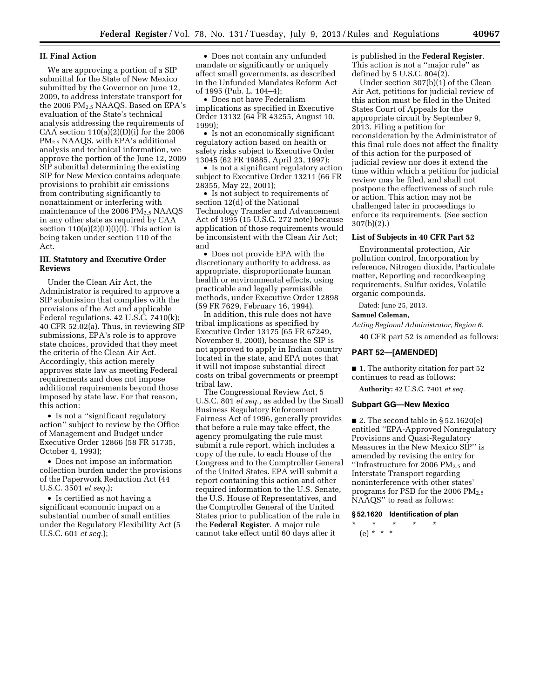#### **II. Final Action**

We are approving a portion of a SIP submittal for the State of New Mexico submitted by the Governor on June 12, 2009, to address interstate transport for the 2006 PM2.5 NAAQS. Based on EPA's evaluation of the State's technical analysis addressing the requirements of CAA section  $110(a)(2)(D)(i)$  for the 2006 PM2.5 NAAQS, with EPA's additional analysis and technical information, we approve the portion of the June 12, 2009 SIP submittal determining the existing SIP for New Mexico contains adequate provisions to prohibit air emissions from contributing significantly to nonattainment or interfering with maintenance of the 2006  $PM<sub>2.5</sub> NAAQS$ in any other state as required by CAA section  $110(a)(2)(D)(i)(I)$ . This action is being taken under section 110 of the Act.

### **III. Statutory and Executive Order Reviews**

Under the Clean Air Act, the Administrator is required to approve a SIP submission that complies with the provisions of the Act and applicable Federal regulations. 42 U.S.C. 7410(k); 40 CFR 52.02(a). Thus, in reviewing SIP submissions, EPA's role is to approve state choices, provided that they meet the criteria of the Clean Air Act. Accordingly, this action merely approves state law as meeting Federal requirements and does not impose additional requirements beyond those imposed by state law. For that reason, this action:

• Is not a ''significant regulatory action'' subject to review by the Office of Management and Budget under Executive Order 12866 (58 FR 51735, October 4, 1993);

• Does not impose an information collection burden under the provisions of the Paperwork Reduction Act (44 U.S.C. 3501 *et seq.*);

• Is certified as not having a significant economic impact on a substantial number of small entities under the Regulatory Flexibility Act (5 U.S.C. 601 *et seq.*);

• Does not contain any unfunded mandate or significantly or uniquely affect small governments, as described in the Unfunded Mandates Reform Act of 1995 (Pub. L. 104–4);

• Does not have Federalism implications as specified in Executive Order 13132 (64 FR 43255, August 10, 1999);

• Is not an economically significant regulatory action based on health or safety risks subject to Executive Order 13045 (62 FR 19885, April 23, 1997);

• Is not a significant regulatory action subject to Executive Order 13211 (66 FR 28355, May 22, 2001);

• Is not subject to requirements of section 12(d) of the National Technology Transfer and Advancement Act of 1995 (15 U.S.C. 272 note) because application of those requirements would be inconsistent with the Clean Air Act; and

• Does not provide EPA with the discretionary authority to address, as appropriate, disproportionate human health or environmental effects, using practicable and legally permissible methods, under Executive Order 12898 (59 FR 7629, February 16, 1994).

In addition, this rule does not have tribal implications as specified by Executive Order 13175 (65 FR 67249, November 9, 2000), because the SIP is not approved to apply in Indian country located in the state, and EPA notes that it will not impose substantial direct costs on tribal governments or preempt tribal law.

The Congressional Review Act, 5 U.S.C. 801 *et seq.,* as added by the Small Business Regulatory Enforcement Fairness Act of 1996, generally provides that before a rule may take effect, the agency promulgating the rule must submit a rule report, which includes a copy of the rule, to each House of the Congress and to the Comptroller General of the United States. EPA will submit a report containing this action and other required information to the U.S. Senate, the U.S. House of Representatives, and the Comptroller General of the United States prior to publication of the rule in the **Federal Register**. A major rule cannot take effect until 60 days after it

is published in the **Federal Register**. This action is not a ''major rule'' as defined by 5 U.S.C. 804(2).

Under section 307(b)(1) of the Clean Air Act, petitions for judicial review of this action must be filed in the United States Court of Appeals for the appropriate circuit by September 9, 2013. Filing a petition for reconsideration by the Administrator of this final rule does not affect the finality of this action for the purposed of judicial review nor does it extend the time within which a petition for judicial review may be filed, and shall not postpone the effectiveness of such rule or action. This action may not be challenged later in proceedings to enforce its requirements. (See section 307(b)(2).)

## **List of Subjects in 40 CFR Part 52**

Environmental protection, Air pollution control, Incorporation by reference, Nitrogen dioxide, Particulate matter, Reporting and recordkeeping requirements, Sulfur oxides, Volatile organic compounds.

Dated: June 25, 2013.

### **Samuel Coleman,**

*Acting Regional Administrator, Region 6.* 

40 CFR part 52 is amended as follows:

#### **PART 52—[AMENDED]**

■ 1. The authority citation for part 52 continues to read as follows:

**Authority:** 42 U.S.C. 7401 *et seq.* 

#### **Subpart GG—New Mexico**

 $\blacksquare$  2. The second table in § 52.1620(e) entitled ''EPA-Approved Nonregulatory Provisions and Quasi-Regulatory Measures in the New Mexico SIP'' is amended by revising the entry for "Infrastructure for 2006  $\mathrm{PM_{2.5}}$  and Interstate Transport regarding noninterference with other states' programs for PSD for the 2006  $PM_{2.5}$ NAAQS'' to read as follows:

**§ 52.1620 Identification of plan**  \* \* \* \* \*

(e) \* \* \*